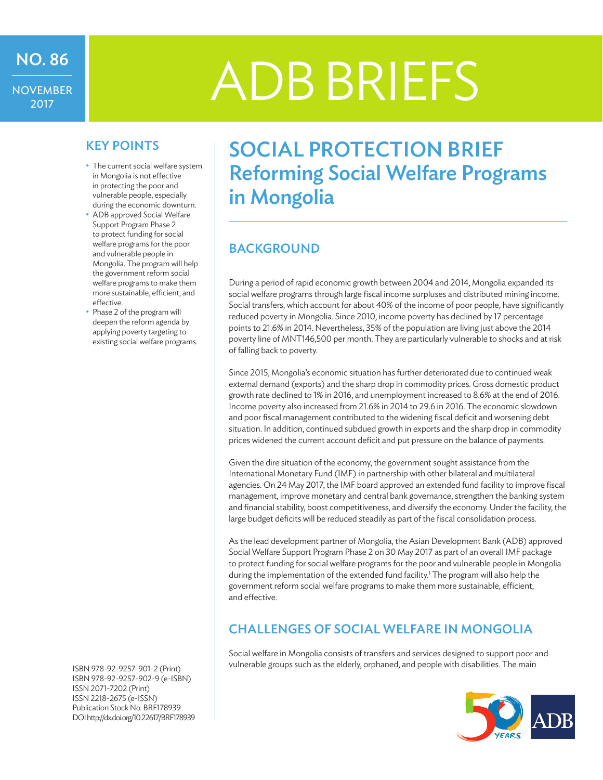# NO. 86<br>NOVEMBER | ADB BRIEFS

- The current social welfare system in Mongolia is not effective in protecting the poor and vulnerable people, especially during the economic downturn.
- ADB approved Social Welfare Support Program Phase 2 to protect funding for social welfare programs for the poor and vulnerable people in Mongolia. The program will help the government reform social welfare programs to make them more sustainable, efficient, and effective.
- Phase 2 of the program will deepen the reform agenda by applying poverty targeting to existing social welfare programs.

ISBN 978-92-9257-901-2 (Print) ISBN 978-92-9257-902-9 (e-ISBN) ISSN 2071-7202 (Print) ISSN 2218-2675 (e-ISSN) Publication Stock No. BRF178939 DOIhttp://dx.doi.org/10.22617/BRF178939

## KEY POINTS | SOCIAL PROTECTION BRIEF Reforming Social Welfare Programs in Mongolia

## **BACKGROUND**

During a period of rapid economic growth between 2004 and 2014, Mongolia expanded its social welfare programs through large fiscal income surpluses and distributed mining income. Social transfers, which account for about 40% of the income of poor people, have significantly reduced poverty in Mongolia. Since 2010, income poverty has declined by 17 percentage points to 21.6% in 2014. Nevertheless, 35% of the population are living just above the 2014 poverty line of MNT146,500 per month. They are particularly vulnerable to shocks and at risk of falling back to poverty.

Since 2015, Mongolia's economic situation has further deteriorated due to continued weak external demand (exports) and the sharp drop in commodity prices. Gross domestic product growth rate declined to 1% in 2016, and unemployment increased to 8.6% at the end of 2016. Income poverty also increased from 21.6% in 2014 to 29.6 in 2016. The economic slowdown and poor fiscal management contributed to the widening fiscal deficit and worsening debt situation. In addition, continued subdued growth in exports and the sharp drop in commodity prices widened the current account deficit and put pressure on the balance of payments.

Given the dire situation of the economy, the government sought assistance from the International Monetary Fund (IMF) in partnership with other bilateral and multilateral agencies. On 24 May 2017, the IMF board approved an extended fund facility to improve fiscal management, improve monetary and central bank governance, strengthen the banking system and financial stability, boost competitiveness, and diversify the economy. Under the facility, the large budget deficits will be reduced steadily as part of the fiscal consolidation process.

As the lead development partner of Mongolia, the Asian Development Bank (ADB) approved Social Welfare Support Program Phase 2 on 30 May 2017 as part of an overall IMF package to protect funding for social welfare programs for the poor and vulnerable people in Mongolia during the implementation of the extended fund facility.<sup>1</sup> The program will also help the government reform social welfare programs to make them more sustainable, efficient, and effective.

#### Challenges of social welfare in Mongolia

Social welfare in Mongolia consists of transfers and services designed to support poor and vulnerable groups such as the elderly, orphaned, and people with disabilities. The main

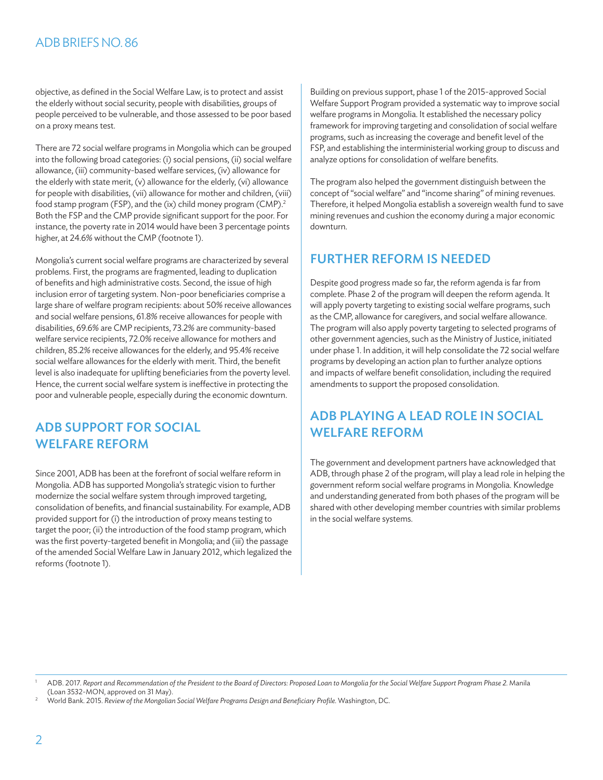#### ADBBRIEFSNO.86

objective, as defined in the Social Welfare Law, is to protect and assist the elderly without social security, people with disabilities, groups of people perceived to be vulnerable, and those assessed to be poor based on a proxy means test.

There are 72 social welfare programs in Mongolia which can be grouped into the following broad categories: (i) social pensions, (ii) social welfare allowance,(iii) community-based welfare services,(iv) allowance for the elderly with state merit,(v) allowance for the elderly,(vi) allowance for people with disabilities,(vii) allowance for mother and children,(viii) food stamp program (FSP), and the (ix) child money program (CMP).<sup>2</sup> Both the FSP and the CMP provide significant support for the poor. For instance, the poverty rate in 2014 would have been 3 percentage points higher, at 24.6% without the CMP (footnote 1).

Mongolia's current social welfare programs are characterized by several problems. First, the programs are fragmented, leading to duplication of benefits and high administrative costs. Second, the issue of high inclusion error of targeting system. Non-poor beneficiaries comprise a large share of welfare program recipients: about 50% receive allowances and social welfare pensions, 61.8% receive allowances for people with disabilities, 69.6% are CMP recipients, 73.2% are community-based welfare service recipients, 72.0% receive allowance for mothers and children, 85.2% receive allowances for the elderly, and 95.4% receive social welfare allowances for the elderly with merit. Third, the benefit level is also inadequate for uplifting beneficiaries from the poverty level. Hence, the current social welfare system is ineffective in protecting the poor and vulnerable people, especially during the economic downturn.

#### ADB support for social welfare reform

Since 2001, ADB has been at the forefront of social welfare reform in Mongolia. ADB has supported Mongolia's strategic vision to further modernize the social welfare system through improved targeting, consolidation of benefits, and financial sustainability. For example, ADB provided support for (i) the introduction of proxy means testing to target the poor; (ii) the introduction of the food stamp program, which was the first poverty-targeted benefit in Mongolia; and (iii) the passage of the amended Social Welfare Law in January 2012, which legalized the reforms (footnote 1).

Building on previous support, phase 1 of the 2015-approved Social Welfare Support Program provided a systematic way to improve social welfare programs in Mongolia. It established the necessary policy framework for improving targeting and consolidation of social welfare programs, such as increasing the coverage and benefit level of the FSP, and establishing the interministerial working group to discuss and analyze options for consolidation of welfare benefits.

The program also helped the government distinguish between the concept of"social welfare" and "income sharing" of mining revenues. Therefore, it helped Mongolia establish a sovereign wealth fund to save mining revenues and cushion the economy during a major economic downturn.

#### Further reform is needed

Despite good progress made so far, the reform agenda is far from complete. Phase 2 of the program will deepen the reform agenda. It will apply poverty targeting to existing social welfare programs, such as the CMP, allowance for caregivers, and social welfare allowance. The program will also apply poverty targeting to selected programs of other government agencies, such as the Ministry of Justice, initiated under phase 1. In addition, it will help consolidate the 72 social welfare programs by developing an action plan to further analyze options and impacts of welfare benefit consolidation, including the required amendments to support the proposed consolidation.

### ADB playing a lead role in social welfare reform

The government and development partners have acknowledged that ADB, through phase 2 of the program, will play a lead role in helping the government reform social welfare programs in Mongolia. Knowledge and understanding generated from both phases of the program will be shared with other developing member countries with similar problems in the social welfare systems.

<sup>1</sup> ADB. 2017. Report and Recommendation of the President to the Board of Directors: Proposed Loan to Mongolia for the Social Welfare Support Program Phase 2. Manila (Loan 3532-MON, approved on 31 May).

<sup>2</sup> World Bank. 2015. *Review of the Mongolian Social Welfare Programs Design and Beneficiary Profile.* Washington, DC.